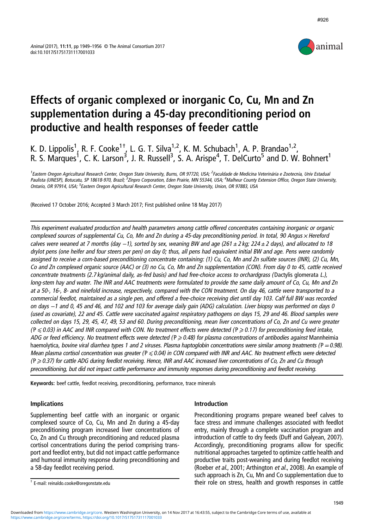

#926

# Effects of organic complexed or inorganic Co, Cu, Mn and Zn supplementation during a 45-day preconditioning period on productive and health responses of feeder cattle

K. D. Lippolis<sup>1</sup>, R. F. Cooke<sup>1+</sup>, L. G. T. Silva<sup>1,2</sup>, K. M. Schubach<sup>1</sup>, A. P. Brandao<sup>1,2</sup>, R. S. Marques<sup>1</sup>, C. K. Larson<sup>3</sup>, J. R. Russell<sup>3</sup>, S. A. Arispe<sup>4</sup>, T. DelCurto<sup>5</sup> and D. W. Bohnert<sup>1</sup>

<sup>1</sup>Eastern Oregon Agricultural Research Center, Oregon State University, Burns, OR 97720, USA; <sup>2</sup>Faculdade de Medicina Veterinária e Zootecnia, Univ Estadual Paulista (UNESP), Botucatu, SP 18618-970, Brazil; <sup>3</sup>Zinpro Corporation, Eden Prairie, MN 55344, USA; <sup>4</sup>Malheur County Extension Office, Oregon State University, Ontario, OR 97914, USA; <sup>5</sup>Eastern Oregon Agricultural Research Center, Oregon State University, Union, OR 97883, USA

(Received 17 October 2016; Accepted 3 March 2017; First published online 18 May 2017)

This experiment evaluated production and health parameters among cattle offered concentrates containing inorganic or organic complexed sources of supplemental Cu, Co, Mn and Zn during a 45-day preconditioning period. In total, 90 Angus x Hereford calves were weaned at 7 months (day -1), sorted by sex, weaning BW and age (261 ± 2 kg; 224 ± 2 days), and allocated to 18 drylot pens (one heifer and four steers per pen) on day 0; thus, all pens had equivalent initial BW and age. Pens were randomly assigned to receive <sup>a</sup> corn-based preconditioning concentrate containing: (1) Cu, Co, Mn and Zn sulfate sources (INR), (2) Cu, Mn, Co and Zn complexed organic source (AAC) or (3) no Cu, Co, Mn and Zn supplementation (CON). From day 0 to 45, cattle received concentrate treatments (2.7 kg/animal daily, as-fed basis) and had free-choice access to orchardgrass ( Dactylis glomerata L.), long-stem hay and water. The INR and AAC treatments were formulated to provide the same daily amount of Co, Cu, Mn and Zn at <sup>a</sup> 50-, 16-, 8- and ninefold increase, respectively, compared with the CON treatment. On day 46, cattle were transported to <sup>a</sup> commercial feedlot, maintained as <sup>a</sup> single pen, and offered <sup>a</sup> free-choice receiving diet until day 103. Calf full BW was recorded on days <sup>−</sup>1 and 0, 45 and 46, and 102 and 103 for average daily gain (ADG) calculation. Liver biopsy was performed on days 0 (used as covariate), 22 and 45. Cattle were vaccinated against respiratory pathogens on days 15, 29 and 46. Blood samples were collected on days 15, 29, 45, 47, 49, 53 and 60. During preconditioning, mean liver concentrations of Co, Zn and Cu were greater  $(P \le 0.03)$  in AAC and INR compared with CON. No treatment effects were detected  $(P \ge 0.17)$  for preconditioning feed intake, ADG or feed efficiency. No treatment effects were detected ( $P \ge 0.48$ ) for plasma concentrations of antibodies against Mannheimia haemolytica, bovine viral diarrhea types 1 and 2 viruses. Plasma haptoglobin concentrations were similar among treatments ( $P = 0.98$ ). Mean plasma cortisol concentration was greater ( $P \le 0.04$ ) in CON compared with INR and AAC. No treatment effects were detected  $(P \ge 0.37)$  for cattle ADG during feedlot receiving. Hence, INR and AAC increased liver concentrations of Co, Zn and Cu through preconditioning, but did not impact cattle performance and immunity responses during preconditioning and feedlot receiving.

Keywords: beef cattle, feedlot receiving, preconditioning, performance, trace minerals

## Implications

Supplementing beef cattle with an inorganic or organic complexed source of Co, Cu, Mn and Zn during a 45-day preconditioning program increased liver concentrations of Co, Zn and Cu through preconditioning and reduced plasma cortisol concentrations during the period comprising transport and feedlot entry, but did not impact cattle performance and humoral immunity response during preconditioning and a 58-day feedlot receiving period.

## Introduction

Preconditioning programs prepare weaned beef calves to face stress and immune challenges associated with feedlot entry, mainly through a complete vaccination program and introduction of cattle to dry feeds (Duff and Galyean, [2007](#page-7-0)). Accordingly, preconditioning programs allow for specific nutritional approaches targeted to optimize cattle health and productive traits post-weaning and during feedlot receiving (Roeber et al., [2001](#page-7-0); Arthington et al., [2008\)](#page-6-0). An example of such approach is Zn, Cu, Mn and Co supplementation due to their role on stress, health and growth responses in cattle † E-mail: [reinaldo.cooke@oregonstate.edu](mailto:reinaldo.cooke@oregonstate.edu)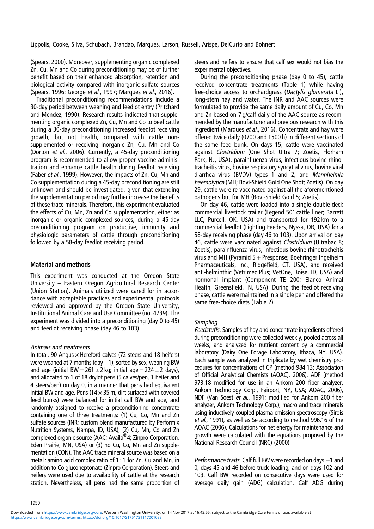Lippolis, Cooke, Silva, Schubach, Brandao, Marques, Larson, Russell, Arispe, DelCurto and Bohnert

(Spears, [2000\)](#page-7-0). Moreover, supplementing organic complexed Zn, Cu, Mn and Co during preconditioning may be of further benefit based on their enhanced absorption, retention and biological activity compared with inorganic sulfate sources (Spears, [1996](#page-7-0); George et al., [1997](#page-7-0); Marques et al., [2016](#page-7-0)).

Traditional preconditioning recommendations include a 30-day period between weaning and feedlot entry (Pritchard and Mendez, [1990](#page-7-0)). Research results indicated that supplementing organic complexed Zn, Cu, Mn and Co to beef cattle during a 30-day preconditioning increased feedlot receiving growth, but not health, compared with cattle nonsupplemented or receiving inorganic Zn, Cu, Mn and Co (Dorton et al., [2006](#page-7-0)). Currently, a 45-day preconditioning program is recommended to allow proper vaccine administration and enhance cattle health during feedlot receiving (Faber et al., [1999\)](#page-7-0). However, the impacts of Zn, Cu, Mn and Co supplementation during a 45-day preconditioning are still unknown and should be investigated, given that extending the supplementation period may further increase the benefits of these trace minerals. Therefore, this experiment evaluated the effects of Cu, Mn, Zn and Co supplementation, either as inorganic or organic complexed sources, during a 45-day preconditioning program on productive, immunity and physiologic parameters of cattle through preconditioning followed by a 58-day feedlot receiving period.

### Material and methods

This experiment was conducted at the Oregon State University – Eastern Oregon Agricultural Research Center (Union Station). Animals utilized were cared for in accordance with acceptable practices and experimental protocols reviewed and approved by the Oregon State University, Institutional Animal Care and Use Committee (no. 4739). The experiment was divided into a preconditioning (day 0 to 45) and feedlot receiving phase (day 46 to 103).

### Animals and treatments

In total, 90 Angus  $\times$  Hereford calves (72 steers and 18 heifers) were weaned at 7 months (day −1), sorted by sex, weaning BW and age (initial BW = 261  $\pm$  2 kg; initial age = 224  $\pm$  2 days), and allocated to 1 of 18 drylot pens (5 calves/pen, 1 heifer and 4 steers/pen) on day 0, in a manner that pens had equivalent initial BW and age. Pens (14 $\times$ 35 m, dirt surfaced with covered feed bunks) were balanced for initial calf BW and age, and randomly assigned to receive a preconditioning concentrate containing one of three treatments: (1) Cu, Co, Mn and Zn sulfate sources (INR; custom blend manufactured by Performix Nutrition Systems, Nampa, ID, USA), (2) Cu, Mn, Co and Zn complexed organic source (AAC; Availa®4; Zinpro Corporation, Eden Prairie, MN, USA) or (3) no Cu, Co, Mn and Zn supplementation (CON). The AAC trace mineral source was based on a metal : amino acid complex ratio of 1 : 1 for Zn, Cu and Mn, in addition to Co glucoheptonate (Zinpro Corporation). Steers and heifers were used due to availability of cattle at the research station. Nevertheless, all pens had the same proportion of steers and heifers to ensure that calf sex would not bias the experimental objectives.

During the preconditioning phase (day 0 to 45), cattle received concentrate treatments ([Table 1\)](#page-2-0) while having free-choice access to orchardgrass (Dactylis glomerata L.), long-stem hay and water. The INR and AAC sources were formulated to provide the same daily amount of Cu, Co, Mn and Zn based on 7 g/calf daily of the AAC source as recommended by the manufacturer and previous research with this ingredient (Marques et al., [2016\)](#page-7-0). Concentrate and hay were offered twice daily (0700 and 1500 h) in different sections of the same feed bunk. On days 15, cattle were vaccinated against Clostridium (One Shot Ultra 7; Zoetis, Florham Park, NJ, USA), parainfluenza virus, infectious bovine rhinotracheitis virus, bovine respiratory syncytial virus, bovine viral diarrhea virus (BVDV) types 1 and 2, and Mannheimia haemolytica (MH; Bovi-Shield Gold One Shot; Zoetis). On day 29, cattle were re-vaccinated against all the aforementioned pathogens but for MH (Bovi-Shield Gold 5; Zoetis).

On day 46, cattle were loaded into a single double-deck commercial livestock trailer (Legend 50′ cattle liner; Barrett LLC, Purcell, OK, USA) and transported for 192 km to a commercial feedlot (Lighting Feeders, Nyssa, OR, USA) for a 58-day receiving phase (day 46 to 103). Upon arrival on day 46, cattle were vaccinated against Clostridium (Ultrabac 8; Zoetis), parainfluenza virus, infectious bovine rhinotracheitis virus and MH (Pyramid  $5+$  Presponse; Boehringer Ingelheim Pharmaceuticals, Inc., Ridgefield, CT, USA), and received anti-helminthic (Vetrimec Plus; VetOne, Boise, ID, USA) and hormonal implant (Component TE 200; Elanco Animal Health, Greensfield, IN, USA). During the feedlot receiving phase, cattle were maintained in a single pen and offered the same free-choice diets [\(Table 2](#page-2-0)).

#### **Sampling**

Feedstuffs. Samples of hay and concentrate ingredients offered during preconditioning were collected weekly, pooled across all weeks, and analyzed for nutrient content by a commercial laboratory (Dairy One Forage Laboratory, Ithaca, NY, USA). Each sample was analyzed in triplicate by wet chemistry procedures for concentrations of CP (method 984.13; Association of Official Analytical Chemists (AOAC), [2006](#page-6-0)), ADF (method 973.18 modified for use in an Ankom 200 fiber analyzer, Ankom Technology Corp., Fairport, NY, USA; AOAC, [2006](#page-6-0)), NDF (Van Soest et al., [1991](#page-7-0); modified for Ankom 200 fiber analyzer, Ankom Technology Corp.), macro and trace minerals using inductively coupled plasma emission spectroscopy (Sirois et al., [1991\)](#page-7-0), as well as Se according to method 996.16 of the AOAC ([2006\)](#page-6-0). Calculations for net energy for maintenance and growth were calculated with the equations proposed by the National Research Council (NRC) [\(2000](#page-7-0)).

Performance traits. Calf full BW were recorded on days -1 and 0, days 45 and 46 before truck loading, and on days 102 and 103. Calf BW recorded on consecutive days were used for average daily gain (ADG) calculation. Calf ADG during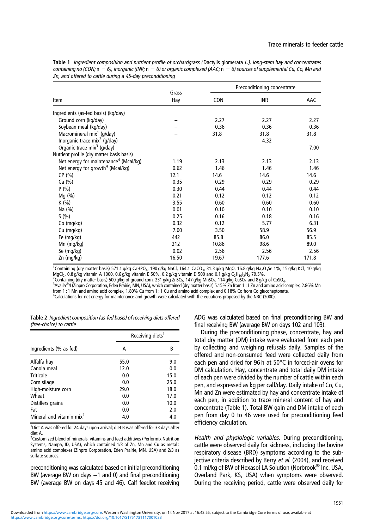<span id="page-2-0"></span>

| Table 1 Ingredient composition and nutrient profile of orchardgrass (Dactylis glomerata L.), long-stem hay and concentrates          |
|--------------------------------------------------------------------------------------------------------------------------------------|
| containing no (CON; $n = 6$ ), inorganic (INR; $n = 6$ ) or organic complexed (AAC; $n = 6$ ) sources of supplemental Cu, Co, Mn and |
| Zn, and offered to cattle during a 45-day preconditioning                                                                            |

|                                                   | Grass |       | Preconditioning concentrate |       |  |  |
|---------------------------------------------------|-------|-------|-----------------------------|-------|--|--|
| Item                                              | Hay   | CON   | INR                         | AAC   |  |  |
| Ingredients (as-fed basis) (kg/day)               |       |       |                             |       |  |  |
| Ground corn (kg/day)                              |       | 2.27  | 2.27                        | 2.27  |  |  |
| Soybean meal (kg/day)                             |       | 0.36  | 0.36                        | 0.36  |  |  |
| Macromineral mix <sup>1</sup> (g/day)             |       | 31.8  | 31.8                        | 31.8  |  |  |
| Inorganic trace mix <sup>2</sup> (g/day)          |       |       | 4.32                        |       |  |  |
| Organic trace mix <sup>3</sup> (g/day)            |       |       |                             | 7.00  |  |  |
| Nutrient profile (dry matter basis basis)         |       |       |                             |       |  |  |
| Net energy for maintenance <sup>4</sup> (Mcal/kg) | 1.19  | 2.13  | 2.13                        | 2.13  |  |  |
| Net energy for growth <sup>4</sup> (Mcal/kg)      | 0.62  | 1.46  | 1.46                        | 1.46  |  |  |
| CP(%)                                             | 12.1  | 14.6  | 14.6                        | 14.6  |  |  |
| Ca (%)                                            | 0.35  | 0.29  | 0.29                        | 0.29  |  |  |
| P(% )                                             | 0.30  | 0.44  | 0.44                        | 0.44  |  |  |
| Mg (%)                                            | 0.21  | 0.12  | 0.12                        | 0.12  |  |  |
| K (%)                                             | 3.55  | 0.60  | 0.60                        | 0.60  |  |  |
| Na (%)                                            | 0.01  | 0.10  | 0.10                        | 0.10  |  |  |
| S(% )                                             | 0.25  | 0.16  | 0.18                        | 0.16  |  |  |
| Co (mg/kg)                                        | 0.32  | 0.12  | 5.77                        | 6.31  |  |  |
| Cu (mg/kg)                                        | 7.00  | 3.50  | 58.9                        | 56.9  |  |  |
| Fe (mg/kg)                                        | 442   | 85.8  | 86.0                        | 85.5  |  |  |
| Mn (mg/kg)                                        | 212   | 10.86 | 98.6                        | 89.0  |  |  |
| Se (mg/kg)                                        | 0.02  | 2.56  | 2.56                        | 2.56  |  |  |
| Zn (mg/kg)                                        | 16.50 | 19.67 | 177.6                       | 171.8 |  |  |

 $^1$ Containing (dry matter basis) 571.1 g/kg CaHPO<sub>4</sub>, 190 g/kg NaCl, 164.1 CaCO<sub>3</sub>, 31.3 g/kg MgO, 16.8 g/kg Na<sub>2</sub>O<sub>3</sub>Se 1%, 15 g/kg KCl, 10 g/kg MgCl<sub>2</sub>, 0.8 g/kg vitamin A 1000, 0.6 g/kg vitamin E 50%, 0.2 g/kg vitamin D 500 and 0.1 g/kg C<sub>2</sub>H<sub>10</sub>I<sub>2</sub>N<sub>2</sub> 79.5%.

<sup>2</sup> Containing (dry matter basis) 500 g/kg of ground corn, 231 g/kg ZnSO<sub>4</sub>, 147 g/kg MnSO<sub>4</sub>, 114 g/kg CuSO<sub>4</sub> and 8 g/kg of CoSO<sub>4</sub>.

Availa®4 (Zinpro Corporation, Eden Prairie, MN, USA), which contained (dry matter basis) 5.15% Zn from 1 : 1 Zn and amino acid complex, 2.86% Mn from 1:1 Mn and amino acid complex, 1.80% Cu from 1:1 Cu and amino acid complex and 0.18% Co from Co glucoheptonate.

 $^4$ Calculations for net energy for maintenance and growth were calculated with the equations proposed by the NRC ([2000](#page-7-0)).

|                         | <b>Table 2</b> Ingredient composition (as-fed basis) of receiving diets offered |  |  |  |
|-------------------------|---------------------------------------------------------------------------------|--|--|--|
| (free-choice) to cattle |                                                                                 |  |  |  |

|                                      | Receiving diets <sup>1</sup> |      |  |
|--------------------------------------|------------------------------|------|--|
| Ingredients (% as-fed)               | А                            | В    |  |
| Alfalfa hay                          | 55.0                         | 9.0  |  |
| Canola meal                          | 12.0                         | 0.0  |  |
| Triticale                            | 0.0                          | 15.0 |  |
| Corn silage                          | 0.0                          | 25.0 |  |
| High-moisture corn                   | 29.0                         | 18.0 |  |
| Wheat                                | 0.0                          | 17.0 |  |
| Distillers grains                    | 0.0                          | 10.0 |  |
| Fat                                  | 0.0                          | 2.0  |  |
| Mineral and vitamin mix <sup>2</sup> | 4.0                          | 4.0  |  |

<sup>1</sup>Diet A was offered for 24 days upon arrival; diet B was offered for 33 days after diet A.

<sup>2</sup>Customized blend of minerals, vitamins and feed additives (Performix Nutrition Systems, Nampa, ID, USA), which contained 1/3 of Zn, Mn and Cu as metal : amino acid complexes (Zinpro Corporation, Eden Prairie, MN, USA) and 2/3 as sulfate sources.

preconditioning was calculated based on initial preconditioning BW (average BW on days -1 and 0) and final preconditioning BW (average BW on days 45 and 46). Calf feedlot receiving

ADG was calculated based on final preconditioning BW and final receiving BW (average BW on days 102 and 103).

During the preconditioning phase, concentrate, hay and total dry matter (DM) intake were evaluated from each pen by collecting and weighing refusals daily. Samples of the offered and non-consumed feed were collected daily from each pen and dried for 96 h at 50°C in forced-air ovens for DM calculation. Hay, concentrate and total daily DM intake of each pen were divided by the number of cattle within each pen, and expressed as kg per calf/day. Daily intake of Co, Cu, Mn and Zn were estimated by hay and concentrate intake of each pen, in addition to trace mineral content of hay and concentrate (Table 1). Total BW gain and DM intake of each pen from day 0 to 46 were used for preconditioning feed efficiency calculation.

Health and physiologic variables. During preconditioning, cattle were observed daily for sickness, including the bovine respiratory disease (BRD) symptoms according to the sub-jective criteria described by Berry et al. [\(2004](#page-6-0)), and received 0.1 ml/kg of BW of Hexasol LA Solution (Norbrook<sup>®</sup> Inc. USA, Overland Park, KS, USA) when symptoms were observed. During the receiving period, cattle were observed daily for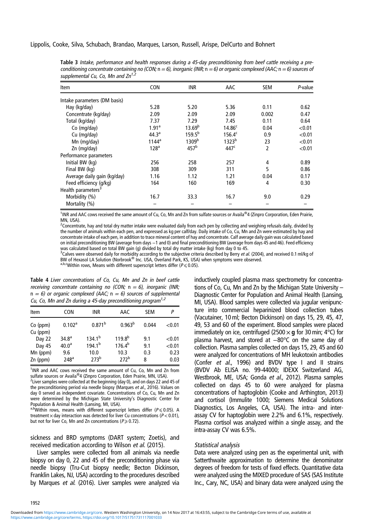<span id="page-3-0"></span>Lippolis, Cooke, Silva, Schubach, Brandao, Marques, Larson, Russell, Arispe, DelCurto and Bohnert

| Item                           | <b>CON</b>        | <b>INR</b>         | AAC                | <b>SEM</b> | P-value |
|--------------------------------|-------------------|--------------------|--------------------|------------|---------|
| Intake parameters (DM basis)   |                   |                    |                    |            |         |
| Hay (kg/day)                   | 5.28              | 5.20               | 5.36               | 0.11       | 0.62    |
| Concentrate (kg/day)           | 2.09              | 2.09               | 2.09               | 0.002      | 0.47    |
| Total (kg/day)                 | 7.37              | 7.29               | 7.45               | 0.11       | 0.64    |
| Co (mg/day)                    | 1.91 <sup>a</sup> | 13.69 <sup>b</sup> | 14.86 <sup>c</sup> | 0.04       | < 0.01  |
| Cu (mg/day)                    | 44.3 <sup>a</sup> | $159.5^{b}$        | $156.4^c$          | 0.9        | < 0.01  |
| Mn (mg/day)                    | $1144^a$          | 1309 <sup>b</sup>  | 1323 <sup>b</sup>  | 23         | < 0.01  |
| Zn (mg/day)                    | 128 <sup>a</sup>  | 457 <sup>b</sup>   | 447 <sup>c</sup>   | 2          | < 0.01  |
| Performance parameters         |                   |                    |                    |            |         |
| Initial BW (kg)                | 256               | 258                | 257                | 4          | 0.89    |
| Final BW (kg)                  | 308               | 309                | 311                | 5          | 0.86    |
| Average daily gain (kg/day)    | 1.16              | 1.12               | 1.21               | 0.04       | 0.17    |
| Feed efficiency (g/kg)         | 164               | 160                | 169                | 4          | 0.30    |
| Health parameters <sup>3</sup> |                   |                    |                    |            |         |
| Morbidity (%)                  | 16.7              | 33.3               | 16.7               | 9.0        | 0.29    |
| Mortality (%)                  |                   |                    |                    |            |         |

Table 3 Intake, performance and health responses during <sup>a</sup> 45-day preconditioning from beef cattle receiving <sup>a</sup> preconditioning concentrate containing no (CON;  $n = 6$ ), inorganic (INR;  $n = 6$ ) or organic complexed (AAC;  $n = 6$ ) sources of supplemental Cu, Co, Mn and  $Zn^{1/2}$ 

<sup>1</sup>INR and AAC cows received the same amount of Cu, Co, Mn and Zn from sulfate sources or Availa®4 (Zinpro Corporation, Eden Prairie, MN, USA).

<sup>2</sup>Concentrate, hay and total dry matter intake were evaluated daily from each pen by collecting and weighing refusals daily, divided by the number of animals within each pen, and expressed as kg per calf/day. Daily intake of Co, Cu, Mn and Zn were estimated by hay and concentrate intake of each pen, in addition to trace mineral content of hay and concentrate. Calf average daily gain was calculated based on initial preconditioning BW (average from days −1 and 0) and final preconditioning BW (average from days 45 and 46). Feed efficiency was calculated based on total BW gain (g) divided by total dry matter intake (kg) from day 0 to 45.

<sup>3</sup>Calves were observed daily for morbidity according to the subjective criteria described by Berry et al. [\(2004\)](#page-6-0), and received 0.1 ml/kg of BW of Hexasol LA Solution (Norbrook<sup>®</sup> Inc. USA, Overland Park, KS, USA) when symptoms were observed. a,b,cWithin rows, Means with different superscript letters differ ( $P \le 0.05$ ).

Table 4 Liver concentrations of Co, Cu, Mn and Zn in beef cattle receiving concentrate containing no (CON;  $n = 6$ ), inorganic (INR;  $n = 6$ ) or organic complexed (AAC;  $n = 6$ ) sources of supplemental Cu, Co, Mn and Zn during a 45-day preconditioning program<sup>1,2</sup>

| Item                   | CON                | INR              | AAC                | <b>SFM</b> | Р      |
|------------------------|--------------------|------------------|--------------------|------------|--------|
| $Co$ (ppm)<br>Cu (ppm) | 0.102 <sup>a</sup> | $0.871^{b}$      | 0.963 <sup>b</sup> | 0.044      | < 0.01 |
| Day 22                 | 34.8 <sup>a</sup>  | $134.1^{b}$      | $119.8^{b}$        | 9.1        | < 0.01 |
| Day 45                 | 40.0 <sup>a</sup>  | $194.1^{b}$      | $176.4^{b}$        | 9.1        | < 0.01 |
| $Mn$ (ppm)             | 9.6                | 10.0             | 10.3               | 0.3        | 0.23   |
| $Zn$ (ppm)             | 248 <sup>a</sup>   | 273 <sup>b</sup> | 272 <sup>b</sup>   | 8          | 0.03   |

<sup>1</sup>INR and AAC cows received the same amount of Cu, Co, Mn and Zn from sulfate sources or Availa<sup>®</sup>4 (Zinpro Corporation, Eden Prairie, MN, USA).

 $2$ Liver samples were collected at the beginning (day 0), and on days 22 and 45 of the preconditioning period via needle biopsy (Marques et al., 2016). Values on day 0 served as independent covariate. Concentrations of Co, Cu, Mn and Zn were determined by the Michigan State University's Diagnostic Center for Population & Animal Health (Lansing, MI, USA).

a,bWithin rows, means with different superscript letters differ ( $P \le 0.05$ ). A treatment  $\times$  day interaction was detected for liver Cu concentrations ( $P < 0.01$ ), but not for liver Co, Mn and Zn concentrations ( $P \ge 0.72$ ).

sickness and BRD symptoms (DART system; Zoetis), and received medication according to Wilson et al. [\(2015](#page-7-0)).

Liver samples were collected from all animals via needle biopsy on day 0, 22 and 45 of the preconditioning phase via needle biopsy (Tru-Cut biopsy needle; Becton Dickinson, Franklin Lakes, NJ, USA) according to the procedures described by Marques et al. (2016). Liver samples were analyzed via

inductively coupled plasma mass spectrometry for concentrations of Co, Cu, Mn and Zn by the Michigan State University – Diagnostic Center for Population and Animal Health (Lansing, MI, USA). Blood samples were collected via jugular venipuncture into commercial heparinized blood collection tubes (Vacutainer, 10 ml; Becton Dickinson) on days 15, 29, 45, 47, 49, 53 and 60 of the experiment. Blood samples were placed immediately on ice, centrifuged (2500  $\times$  g for 30 min; 4°C) for plasma harvest, and stored at -80°C on the same day of collection. Plasma samples collected on days 15, 29, 45 and 60 were analyzed for concentrations of MH leukotoxin antibodies (Confer et al., [1996](#page-7-0)) and BVDV type I and II strains (BVDV Ab ELISA no. 99-44000; IDEXX Switzerland AG, Westbrook, ME, USA; Gonda et al., [2012](#page-7-0)). Plasma samples collected on days 45 to 60 were analyzed for plasma concentrations of haptoglobin (Cooke and Arthington, [2013\)](#page-7-0) and cortisol (Immulite 1000; Siemens Medical Solutions Diagnostics, Los Angeles, CA, USA). The intra- and interassay CV for haptoglobin were 2.2% and 6.1%, respectively. Plasma cortisol was analyzed within a single assay, and the intra-assay CV was 6.5%.

#### Statistical analysis

Data were analyzed using pen as the experimental unit, with Satterthwaite approximation to determine the denominator degrees of freedom for tests of fixed effects. Quantitative data were analyzed using the MIXED procedure of SAS (SAS Institute Inc., Cary, NC, USA) and binary data were analyzed using the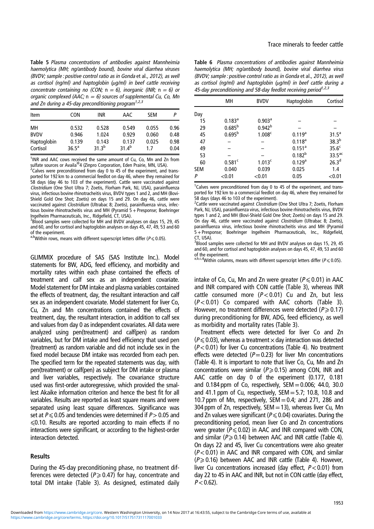<span id="page-4-0"></span>Table 5 Plasma concentrations of antibodies against Mannheimia haemolytica (MH; ng/antibody bound), bovine viral diarrhea viruses (BVDV; sample : positive control ratio as in Gonda et al., [2012](#page-7-0)), as well as cortisol (ng/ml) and haptoglobin (ug/ml) in beef cattle receiving concentrate containing no (CON;  $n = 6$ ), inorganic (INR;  $n = 6$ ) or organic complexed (AAC;  $n = 6$ ) sources of supplemental Cu, Co, Mn and Zn during a 45-day preconditioning program $1,2,3$ 

| Item        | CON            | INR     | AAC      | <b>SFM</b> | Р    |
|-------------|----------------|---------|----------|------------|------|
| MН          | 0.532          | 0.528   | 0.549    | 0.055      | 0.96 |
| <b>BVDV</b> | 0.946          | 1.024   | 0.929    | 0.060      | 0.48 |
| Haptoglobin | 0.139          | 0.143   | 0.137    | 0.025      | 0.98 |
| Cortisol    | $36.5^{\circ}$ | 31 $3b$ | 31 $4^b$ | 17         | 0.04 |

<sup>1</sup>INR and AAC cows received the same amount of Cu, Co, Mn and Zn from sulfate sources or Availa®4 (Zinpro Corporation, Eden Prairie, MN, USA)

 $2$ Calves were preconditioned from day 0 to 45 of the experiment, and transported for 192 km to a commercial feedlot on day 46, where they remained for 58 days (day 46 to 103 of the experiment). Cattle were vaccinated against Clostridium (One Shot Ultra 7; Zoetis, Florham Park, NJ, USA), parainfluenza virus, infectious bovine rhinotracheitis virus, BVDV types 1 and 2, and MH (Bovi-Shield Gold One Shot; Zoetis) on days 15 and 29. On day 46, cattle were vaccinated against Clostridium (Ultrabac 8; Zoetis), parainfluenza virus, infectious bovine rhinotracheitis virus and MH (Pyramid 5 + Presponse; Boehringer Ingelheim Pharmaceuticals, Inc., Ridgefield, CT, USA). <sup>3</sup>

Blood samples were collected for MH and BVDV analyses on days 15, 29, 45 and 60, and for cortisol and haptoglobin analyses on days 45, 47, 49, 53 and 60 of the experiment.

a,bWithin rows, means with different superscript letters differ ( $P \le 0.05$ ).

GLIMMIX procedure of SAS (SAS Institute Inc.). Model statements for BW, ADG, feed efficiency, and morbidity and mortality rates within each phase contained the effects of treatment and calf sex as an independent covariate. Model statement for DM intake and plasma variables contained the effects of treatment, day, the resultant interaction and calf sex as an independent covariate. Model statement for liver Co, Cu, Zn and Mn concentrations contained the effects of treatment, day, the resultant interaction, in addition to calf sex and values from day 0 as independent covariates. All data were analyzed using pen(treatment) and calf(pen) as random variables, but for DM intake and feed efficiency that used pen (treatment) as random variable and did not include sex in the fixed model because DM intake was recorded from each pen. The specified term for the repeated statements was day, with pen(treatment) or calf(pen) as subject for DM intake or plasma and liver variables, respectively. The covariance structure used was first-order autoregressive, which provided the smallest Akaike information criterion and hence the best fit for all variables. Results are reported as least square means and were separated using least square differences. Significance was set at  $P \le 0.05$  and tendencies were determined if  $P > 0.05$  and  $\leq 0.10$ . Results are reported according to main effects if no interactions were significant, or according to the highest-order interaction detected.

## Results

During the 45-day preconditioning phase, no treatment differences were detected ( $P \ge 0.47$ ) for hay, concentrate and total DM intake [\(Table 3\)](#page-3-0). As designed, estimated daily

Table 6 Plasma concentrations of antibodies against Mannheimia haemolytica (MH; ng/antibody bound), bovine viral diarrhea virus (BVDV; sample : positive control ratio as in Gonda et al., [2012](#page-7-0)), as well as cortisol (ng/ml) and haptoglobin (ug/ml) in beef cattle during a 45-day preconditioning and 58-day feedlot receiving period $1,2,3$ 

|            | MН                 | <b>BVDV</b>          | Haptoglobin          | Cortisol           |
|------------|--------------------|----------------------|----------------------|--------------------|
| Day        |                    |                      |                      |                    |
| 15         | $0.183^{a}$        | $0.903$ <sup>a</sup> |                      |                    |
| 29         | $0.685^{b}$        | $0.942^{b}$          |                      |                    |
| 45         | $0.695^{b}$        | 1.008 <sup>c</sup>   | $0.119^{a}$          | $31.5^a$           |
| 47         |                    |                      | $0.118^{a}$          | 38.3 <sup>b</sup>  |
| 49         |                    |                      | $0.151$ <sup>a</sup> | 35.6 <sup>c</sup>  |
| 53         |                    |                      | $0.182^{b}$          | $33.5^{\text{ac}}$ |
| 60         | 0.581 <sup>c</sup> | 1.013 <sup>c</sup>   | $0.129$ <sup>a</sup> | 26.3 <sup>d</sup>  |
| <b>SEM</b> | 0.040              | 0.039                | 0.025                | 1.4                |
| P          | < 0.01             | < 0.01               | 0.05                 | < 0.01             |

<sup>1</sup>Calves were preconditioned from day 0 to 45 of the experiment, and transported for 192 km to a commercial feedlot on day 46, where they remained for 58 days (days 46 to 103 of the experiment).

<sup>2</sup>Cattle were vaccinated against Clostridium (One Shot Ultra 7; Zoetis, Florham Park, NJ, USA), parainfluenza virus, infectious bovine rhinotracheitis virus, BVDV types 1 and 2, and MH (Bovi-Shield Gold One Shot; Zoetis) on days 15 and 29. On day 46, cattle were vaccinated against Clostridium (Ultrabac 8; Zoetis), parainfluenza virus, infectious bovine rhinotracheitis virus and MH (Pyramid 5+Presponse; Boehringer Ingelheim Pharmaceuticals, Inc., Ridgefield, CT, USA).

<sup>3</sup> Blood samples were collected for MH and BVDV analyses on days 15, 29, 45 and 60, and for cortisol and haptoglobin analyses on days 45, 47, 49, 53 and 60 of the experiment.

 $a,b,c,d$  Within columns, means with different superscript letters differ ( $P \le 0.05$ ).

intake of Co, Cu, Mn and Zn were greater ( $P \le 0.01$ ) in AAC and INR compared with CON cattle ([Table 3](#page-3-0)), whereas INR cattle consumed more  $(P<0.01)$  Cu and Zn, but less  $(P<0.01)$  Co compared with AAC cohorts ([Table 3](#page-3-0)). However, no treatment differences were detected ( $P \ge 0.17$ ) during preconditioning for BW, ADG, feed efficiency, as well as morbidity and mortality rates ([Table 3\)](#page-3-0).

Treatment effects were detected for liver Co and Zn  $(P \le 0.03)$ , whereas a treatment  $\times$  day interaction was detected  $(P<0.01)$  for liver Cu concentrations [\(Table 4\)](#page-3-0). No treatment effects were detected ( $P=0.23$ ) for liver Mn concentrations [\(Table 4](#page-3-0)). It is important to note that liver Co, Cu, Mn and Zn concentrations were similar ( $P \ge 0.15$ ) among CON, INR and AAC cattle on day 0 of the experiment (0.177, 0.181 and 0.184 ppm of Co, respectively,  $SEM = 0.006$ ; 44.0, 30.0 and 41.1 ppm of Cu, respectively,  $SEM = 5.7$ ; 10.8, 10.8 and 10.7 ppm of Mn, respectively,  $SEM = 0.4$ ; and 271, 286 and 304 ppm of Zn, respectively,  $SEM = 13$ ), whereas liver Cu, Mn and Zn values were significant ( $P \le 0.04$ ) covariates. During the preconditioning period, mean liver Co and Zn concentrations were greater ( $P \le 0.02$ ) in AAC and INR compared with CON, and similar ( $P \ge 0.14$ ) between AAC and INR cattle [\(Table 4](#page-3-0)). On days 22 and 45, liver Cu concentrations were also greater  $(P<0.01)$  in AAC and INR compared with CON, and similar  $(P \ge 0.16)$  between AAC and INR cattle [\(Table 4\)](#page-3-0). However, liver Cu concentrations increased (day effect,  $P < 0.01$ ) from day 22 to 45 in AAC and INR, but not in CON cattle (day effect,  $P < 0.62$ ).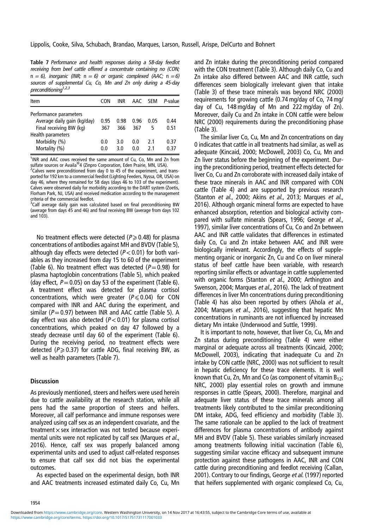<span id="page-5-0"></span>Table 7 Performance and health responses during <sup>a</sup> 58-day feedlot receiving from beef cattle offered <sup>a</sup> concentrate containing no (CON;  $n = 6$ ), inorganic (INR;  $n = 6$ ) or organic complexed (AAC;  $n = 6$ ) sources of supplemental Cu, Co, Mn and Zn only during <sup>a</sup> 45-day preconditioning<sup>1,2,3</sup>

| Item                                                                             | CON         | INR.        | AAC.        | <b>SFM</b> | P-value      |
|----------------------------------------------------------------------------------|-------------|-------------|-------------|------------|--------------|
| Performance parameters<br>Average daily gain (kg/day)<br>Final receiving BW (kg) | 0.95<br>367 | 0.98<br>366 | 0.96<br>367 | 0.05<br>5  | 0.44<br>0.51 |
| Health parameters<br>Morbidity (%)<br>Mortality (%)                              | 0.0<br>0.0  | 3.0<br>3.0  | 0.0<br>0 O  | 21<br>21   | 0.37<br>በ 37 |

<sup>1</sup>INR and AAC cows received the same amount of Cu, Co, Mn and Zn from sulfate sources or Availa®4 (Zinpro Corporation, Eden Prairie, MN, USA)

 $2$ Calves were preconditioned from day 0 to 45 of the experiment, and transported for 192 km to a commercial feedlot (Lighting Feeders, Nyssa, OR, USA) on day 46, where they remained for 58 days (days 46 to 103 of the experiment). Calves were observed daily for morbidity according to the DART system (Zoetis, Florham Park, NJ, USA) and received medication according to the management criteria of the commercial feedlot.

<sup>3</sup>Calf average daily gain was calculated based on final preconditioning BW (average from days 45 and 46) and final receiving BW (average from days 102 and 103).

No treatment effects were detected ( $P \ge 0.48$ ) for plasma concentrations of antibodies against MH and BVDV ([Table 5](#page-4-0)), although day effects were detected ( $P < 0.01$ ) for both variables as they increased from day 15 to 60 of the experiment [\(Table 6](#page-4-0)). No treatment effect was detected ( $P=0.98$ ) for plasma haptoglobin concentrations [\(Table 5](#page-4-0)), which peaked (day effect,  $P=0.05$ ) on day 53 of the experiment [\(Table 6](#page-4-0)). A treatment effect was detected for plasma cortisol concentrations, which were greater ( $P \le 0.04$ ) for CON compared with INR and AAC during the experiment, and similar ( $P=0.97$ ) between INR and AAC cattle [\(Table 5\)](#page-4-0). A day effect was also detected ( $P < 0.01$ ) for plasma cortisol concentrations, which peaked on day 47 followed by a steady decrease until day 60 of the experiment ([Table 6](#page-4-0)). During the receiving period, no treatment effects were detected ( $P \ge 0.37$ ) for cattle ADG, final receiving BW, as well as health parameters (Table 7).

## **Discussion**

As previously mentioned, steers and heifers were used herein due to cattle availability at the research station, while all pens had the same proportion of steers and heifers. Moreover, all calf performance and immune responses were analyzed using calf sex as an independent covariate, and the treatment  $\times$  sex interaction was not tested because experimental units were not replicated by calf sex (Marques et al., [2016](#page-7-0)). Hence, calf sex was properly balanced among experimental units and used to adjust calf-related responses to ensure that calf sex did not bias the experimental outcomes.

As expected based on the experimental design, both INR and AAC treatments increased estimated daily Co, Cu, Mn

and Zn intake during the preconditioning period compared with the CON treatment [\(Table 3\)](#page-3-0). Although daily Co, Cu and Zn intake also differed between AAC and INR cattle, such differences seem biologically irrelevant given that intake [\(Table 3\)](#page-3-0) of these trace minerals was beyond NRC ([2000\)](#page-7-0) requirements for growing cattle (0.74 mg/day of Co, 74 mg/ day of Cu, 148 mg/day of Mn and 222 mg/day of Zn). Moreover, daily Cu and Zn intake in CON cattle were below NRC ([2000\)](#page-7-0) requirements during the preconditioning phase [\(Table 3](#page-3-0)).

The similar liver Co, Cu, Mn and Zn concentrations on day 0 indicates that cattle in all treatments had similar, as well as adequate (Kincaid, [2000;](#page-7-0) McDowell, [2003](#page-7-0)) Co, Cu, Mn and Zn liver status before the beginning of the experiment. During the preconditioning period, treatment effects detected for liver Co, Cu and Zn corroborate with increased daily intake of these trace minerals in AAC and INR compared with CON cattle [\(Table 4\)](#page-3-0) and are supported by previous research (Stanton et al., [2000;](#page-7-0) Akins et al., [2013;](#page-6-0) Marques et al., [2016](#page-7-0)). Although organic mineral forms are expected to have enhanced absorption, retention and biological activity com-pared with sulfate minerals (Spears, [1996](#page-7-0); George et al., [1997](#page-7-0)), similar liver concentrations of Cu, Co and Zn between AAC and INR cattle validates that differences in estimated daily Co, Cu and Zn intake between AAC and INR were biologically irrelevant. Accordingly, the effects of supplementing organic or inorganic Zn, Cu and Co on liver mineral status of beef cattle have been variable, with research reporting similar effects or advantage in cattle supplemented with organic forms (Stanton et al., [2000;](#page-7-0) Arthington and Swenson, [2004](#page-6-0); Marques et al., [2016](#page-7-0)). The lack of treatment differences in liver Mn concentrations during preconditioning [\(Table 4\)](#page-3-0) has also been reported by others (Ahola et al., [2004](#page-6-0); Marques et al., [2016](#page-7-0)), suggesting that hepatic Mn concentrations in ruminants are not influenced by increased dietary Mn intake (Underwood and Suttle, [1999](#page-7-0)).

It is important to note, however, that liver Co, Cu, Mn and Zn status during preconditioning [\(Table 4\)](#page-3-0) were either marginal or adequate across all treatments (Kincaid, [2000](#page-7-0); McDowell, [2003](#page-7-0)), indicating that inadequate Cu and Zn intake by CON cattle (NRC, [2000](#page-7-0)) was not sufficient to result in hepatic deficiency for these trace elements. It is well known that Cu, Zn, Mn and Co (as component of vitamin  $B_{12}$ ; NRC, [2000](#page-7-0)) play essential roles on growth and immune responses in cattle (Spears, [2000\)](#page-7-0). Therefore, marginal and adequate liver status of these trace minerals among all treatments likely contributed to the similar preconditioning DM intake, ADG, feed efficiency and morbidity ([Table 3](#page-3-0)). The same rationale can be applied to the lack of treatment differences for plasma concentrations of antibody against MH and BVDV ([Table 5\)](#page-4-0). These variables similarly increased among treatments following initial vaccination [\(Table 6](#page-4-0)), suggesting similar vaccine efficacy and subsequent immune protection against these pathogens in AAC, INR and CON cattle during preconditioning and feedlot receiving (Callan, [2001](#page-7-0)). Contrary to our findings, George et al. [\(1997](#page-7-0)) reported that heifers supplemented with organic complexed Co, Cu,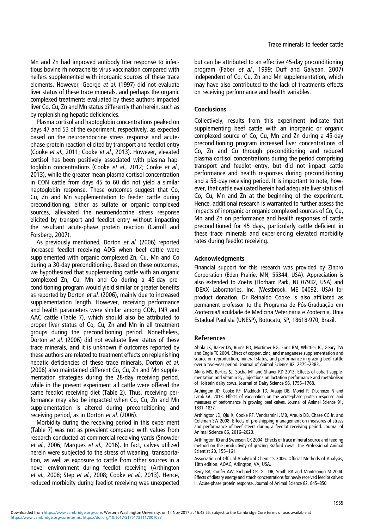<span id="page-6-0"></span>Mn and Zn had improved antibody titer response to infectious bovine rhinotracheitis virus vaccination compared with heifers supplemented with inorganic sources of these trace elements. However, George et al. ([1997\)](#page-7-0) did not evaluate liver status of these trace minerals, and perhaps the organic complexed treatments evaluated by these authors impacted liver Co, Cu, Zn and Mn status differently than herein, such as by replenishing hepatic deficiencies.

Plasma cortisol and haptoglobin concentrations peaked on days 47 and 53 of the experiment, respectively, as expected based on the neuroendocrine stress response and acutephase protein reaction elicited by transport and feedlot entry (Cooke et al., [2011;](#page-7-0) Cooke et al., [2013\)](#page-7-0). However, elevated cortisol has been positively associated with plasma haptoglobin concentrations (Cooke et al., [2012](#page-7-0); Cooke et al., [2013](#page-7-0)), while the greater mean plasma cortisol concentration in CON cattle from days 45 to 60 did not yield a similar haptoglobin response. These outcomes suggest that Co, Cu, Zn and Mn supplementation to feeder cattle during preconditioning, either as sulfate or organic complexed sources, alleviated the neuroendocrine stress response elicited by transport and feedlot entry without impacting the resultant acute-phase protein reaction (Carroll and Forsberg, [2007\)](#page-7-0).

As previously mentioned, Dorton et al. [\(2006](#page-7-0)) reported increased feedlot receiving ADG when beef cattle were supplemented with organic complexed Zn, Cu, Mn and Co during a 30-day preconditioning. Based on these outcomes, we hypothesized that supplementing cattle with an organic complexed Zn, Cu, Mn and Co during a 45-day preconditioning program would yield similar or greater benefits as reported by Dorton et al. [\(2006](#page-7-0)), mainly due to increased supplementation length. However, receiving performance and health parameters were similar among CON, INR and AAC cattle ([Table 7\)](#page-5-0), which should also be attributed to proper liver status of Co, Cu, Zn and Mn in all treatment groups during the preconditioning period. Nonetheless, Dorton et al. [\(2006](#page-7-0)) did not evaluate liver status of these trace minerals, and it is unknown if outcomes reported by these authors are related to treatment effects on replenishing hepatic deficiencies of these trace minerals. Dorton et al. [\(2006](#page-7-0)) also maintained different Co, Cu, Zn and Mn supplementation strategies during the 28-day receiving period, while in the present experiment all cattle were offered the same feedlot receiving diet ([Table 2](#page-2-0)). Thus, receiving performance may also be impacted when Co, Cu, Zn and Mn supplementation is altered during preconditioning and receiving period, as in Dorton et al. ([2006\)](#page-7-0).

Morbidity during the receiving period in this experiment [\(Table 7\)](#page-5-0) was not as prevalent compared with values from research conducted at commercial receiving yards (Snowder et al., [2006;](#page-7-0) Marques et al., [2016\)](#page-7-0). In fact, calves utilized herein were subjected to the stress of weaning, transportation, as well as exposure to cattle from other sources in a novel environment during feedlot receiving (Arthington et al., 2008; Step et al., [2008;](#page-7-0) Cooke et al., [2013\)](#page-7-0). Hence, reduced morbidity during feedlot receiving was unexpected

but can be attributed to an effective 45-day preconditioning program (Faber et al., [1999](#page-7-0); Duff and Galyean, [2007\)](#page-7-0) independent of Co, Cu, Zn and Mn supplementation, which may have also contributed to the lack of treatments effects on receiving performance and health variables.

## **Conclusions**

Collectively, results from this experiment indicate that supplementing beef cattle with an inorganic or organic complexed source of Co, Cu, Mn and Zn during a 45-day preconditioning program increased liver concentrations of Co, Zn and Cu through preconditioning and reduced plasma cortisol concentrations during the period comprising transport and feedlot entry, but did not impact cattle performance and health responses during preconditioning and a 58-day receiving period. It is important to note, however, that cattle evaluated herein had adequate liver status of Co, Cu, Mn and Zn at the beginning of the experiment. Hence, additional research is warranted to further assess the impacts of inorganic or organic complexed sources of Co, Cu, Mn and Zn on performance and health responses of cattle preconditioned for 45 days, particularly cattle deficient in these trace minerals and experiencing elevated morbidity rates during feedlot receiving.

## **Acknowledaments**

Financial support for this research was provided by Zinpro Corporation (Eden Prairie, MN, 55344, USA). Appreciation is also extended to Zoetis (Florham Park, NJ 07932, USA) and IDEXX Laboratories, Inc. (Westbrook, ME 04092, USA) for product donation. Dr Reinaldo Cooke is also affiliated as permanent professor to the Programa de Pós-Graduação em Zootecnia/Faculdade de Medicina Veterinária e Zootecnia, Univ Estadual Paulista (UNESP), Botucatu, SP, 18618-970, Brazil.

#### References

Ahola JK, Baker DS, Burns PD, Mortimer RG, Enns RM, Whittier JC, Geary TW and Engle TE 2004. Effect of copper, zinc, and manganese supplementation and source on reproduction, mineral status, and performance in grazing beef cattle over a two-year period. Journal of Animal Science 82, 2375–2383.

Akins MS, Bertics SJ, Socha MT and Shaver RD 2013. Effects of cobalt supplementation and vitamin  $B_{12}$  injections on lactation performance and metabolism of Holstein dairy cows. Journal of Dairy Science 96, 1755–1768.

Arthington JD, Cooke RF, Maddock TD, Araujo DB, Moriel P, DiLorenzo N and Lamb GC 2013. Effects of vaccination on the acute-phase protein response and measures of performance in growing beef calves. Journal of Animal Science 91, 1831–1837.

Arthington JD, Qiu X, Cooke RF, Vendramini JMB, Araujo DB, Chase CC Jr. and Coleman SW 2008. Effects of pre-shipping management on measures of stress and performance of beef steers during a feedlot receiving period. Journal of Animal Science 86, 2016–2023.

Arthington JD and Swenson CK 2004. Effects of trace mineral source and feeding method on the productivity of grazing Braford cows. The Professional Animal Scientist 20, 155–161.

Association of Official Analytical Chemists 2006. Official Methods of Analysis, 18th edition. AOAC, Arlington, VA, USA.

Berry BA, Confer AW, Krehbiel CR, Gill DR, Smith RA and Montelongo M 2004. Effects of dietary energy and starch concentrations for newly received feedlot calves: II. Acute-phase protein response. Journal of Animal Science 82, 845–850.